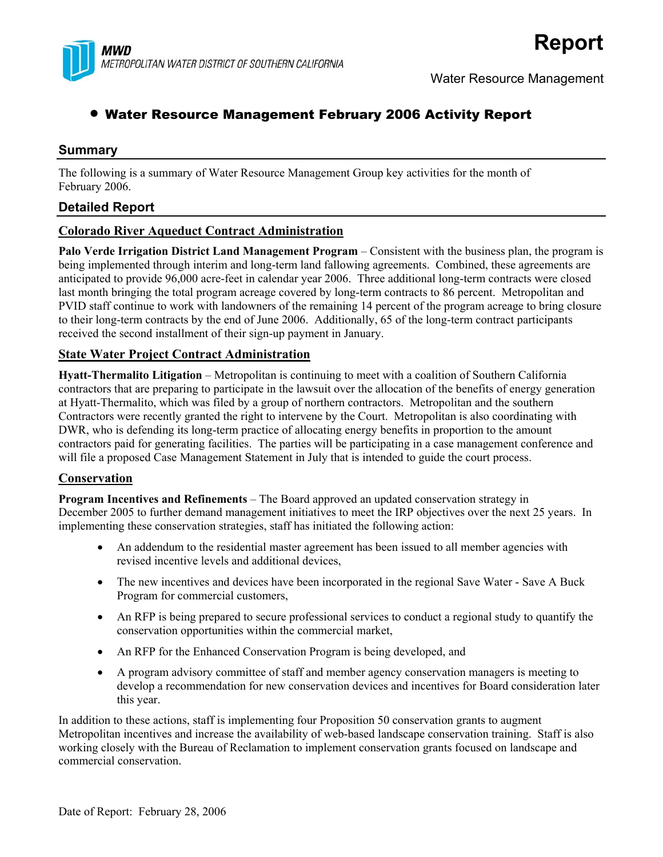

# • Water Resource Management February 2006 Activity Report

## **Summary**

The following is a summary of Water Resource Management Group key activities for the month of February 2006.

# **Detailed Report**

#### **Colorado River Aqueduct Contract Administration**

**Palo Verde Irrigation District Land Management Program** – Consistent with the business plan, the program is being implemented through interim and long-term land fallowing agreements. Combined, these agreements are anticipated to provide 96,000 acre-feet in calendar year 2006. Three additional long-term contracts were closed last month bringing the total program acreage covered by long-term contracts to 86 percent. Metropolitan and PVID staff continue to work with landowners of the remaining 14 percent of the program acreage to bring closure to their long-term contracts by the end of June 2006. Additionally, 65 of the long-term contract participants received the second installment of their sign-up payment in January.

#### **State Water Project Contract Administration**

**Hyatt-Thermalito Litigation** – Metropolitan is continuing to meet with a coalition of Southern California contractors that are preparing to participate in the lawsuit over the allocation of the benefits of energy generation at Hyatt-Thermalito, which was filed by a group of northern contractors. Metropolitan and the southern Contractors were recently granted the right to intervene by the Court. Metropolitan is also coordinating with DWR, who is defending its long-term practice of allocating energy benefits in proportion to the amount contractors paid for generating facilities. The parties will be participating in a case management conference and will file a proposed Case Management Statement in July that is intended to guide the court process.

## **Conservation**

**Program Incentives and Refinements** – The Board approved an updated conservation strategy in December 2005 to further demand management initiatives to meet the IRP objectives over the next 25 years. In implementing these conservation strategies, staff has initiated the following action:

- An addendum to the residential master agreement has been issued to all member agencies with revised incentive levels and additional devices,
- The new incentives and devices have been incorporated in the regional Save Water Save A Buck Program for commercial customers,
- An RFP is being prepared to secure professional services to conduct a regional study to quantify the conservation opportunities within the commercial market,
- An RFP for the Enhanced Conservation Program is being developed, and
- A program advisory committee of staff and member agency conservation managers is meeting to develop a recommendation for new conservation devices and incentives for Board consideration later this year.

In addition to these actions, staff is implementing four Proposition 50 conservation grants to augment Metropolitan incentives and increase the availability of web-based landscape conservation training. Staff is also working closely with the Bureau of Reclamation to implement conservation grants focused on landscape and commercial conservation.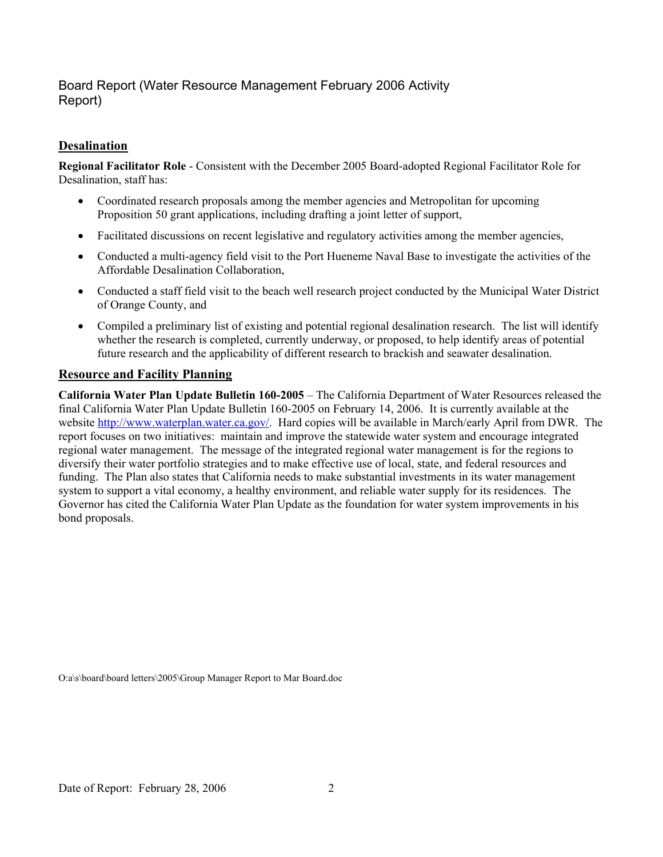# Board Report (Water Resource Management February 2006 Activity Report)

## **Desalination**

**Regional Facilitator Role** - Consistent with the December 2005 Board-adopted Regional Facilitator Role for Desalination, staff has:

- Coordinated research proposals among the member agencies and Metropolitan for upcoming Proposition 50 grant applications, including drafting a joint letter of support,
- Facilitated discussions on recent legislative and regulatory activities among the member agencies,
- Conducted a multi-agency field visit to the Port Hueneme Naval Base to investigate the activities of the Affordable Desalination Collaboration,
- Conducted a staff field visit to the beach well research project conducted by the Municipal Water District of Orange County, and
- Compiled a preliminary list of existing and potential regional desalination research. The list will identify whether the research is completed, currently underway, or proposed, to help identify areas of potential future research and the applicability of different research to brackish and seawater desalination.

#### **Resource and Facility Planning**

**California Water Plan Update Bulletin 160-2005** – The California Department of Water Resources released the final California Water Plan Update Bulletin 160-2005 on February 14, 2006. It is currently available at the website [http://www.waterplan.water.ca.gov/.](http://www.waterplan.water.ca.gov/) Hard copies will be available in March/early April from DWR. The report focuses on two initiatives: maintain and improve the statewide water system and encourage integrated regional water management. The message of the integrated regional water management is for the regions to diversify their water portfolio strategies and to make effective use of local, state, and federal resources and funding. The Plan also states that California needs to make substantial investments in its water management system to support a vital economy, a healthy environment, and reliable water supply for its residences. The Governor has cited the California Water Plan Update as the foundation for water system improvements in his bond proposals.

O:a\s\board\board letters\2005\Group Manager Report to Mar Board.doc